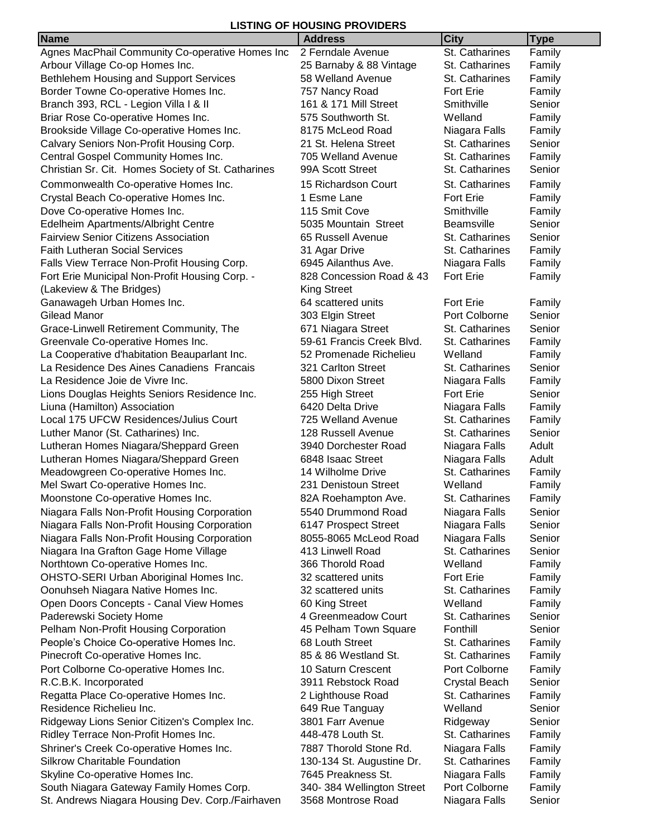## **LISTING OF HOUSING PROVIDERS**

| <b>Name</b><br><b>City</b><br><b>Type</b><br><b>Address</b><br>St. Catharines<br>Family<br>Agnes MacPhail Community Co-operative Homes Inc<br>2 Ferndale Avenue<br>25 Barnaby & 88 Vintage<br>Arbour Village Co-op Homes Inc.<br>St. Catharines<br>Family<br>Bethlehem Housing and Support Services<br>58 Welland Avenue<br>St. Catharines<br>Family<br>Border Towne Co-operative Homes Inc.<br>757 Nancy Road<br><b>Fort Erie</b><br>Family<br>Branch 393, RCL - Legion Villa I & II<br>161 & 171 Mill Street<br>Senior<br>Smithville<br>575 Southworth St.<br>Family<br>Briar Rose Co-operative Homes Inc.<br>Welland<br>Brookside Village Co-operative Homes Inc.<br>8175 McLeod Road<br>Niagara Falls<br>Family<br>Calvary Seniors Non-Profit Housing Corp.<br>21 St. Helena Street<br>St. Catharines<br>Senior<br>705 Welland Avenue<br>St. Catharines<br>Central Gospel Community Homes Inc.<br>Family<br>99A Scott Street<br>St. Catharines<br>Senior<br>Christian Sr. Cit. Homes Society of St. Catharines<br>Commonwealth Co-operative Homes Inc.<br>15 Richardson Court<br>St. Catharines<br>Family<br>Crystal Beach Co-operative Homes Inc.<br>1 Esme Lane<br>Fort Erie<br>Family<br>115 Smit Cove<br>Smithville<br>Dove Co-operative Homes Inc.<br>Family<br>Senior<br>Edelheim Apartments/Albright Centre<br>5035 Mountain Street<br><b>Beamsville</b><br><b>Fairview Senior Citizens Association</b><br>65 Russell Avenue<br>Senior<br>St. Catharines<br><b>Faith Lutheran Social Services</b><br>31 Agar Drive<br>St. Catharines<br>Family<br>Falls View Terrace Non-Profit Housing Corp.<br>6945 Ailanthus Ave.<br>Niagara Falls<br>Family<br>828 Concession Road & 43<br>Fort Erie<br>Fort Erie Municipal Non-Profit Housing Corp. -<br>Family<br>(Lakeview & The Bridges)<br><b>King Street</b><br>Fort Erie<br>Ganawageh Urban Homes Inc.<br>64 scattered units<br>Family<br>303 Elgin Street<br>Port Colborne<br>Senior<br>Gilead Manor<br>St. Catharines<br>Senior<br>Grace-Linwell Retirement Community, The<br>671 Niagara Street |
|----------------------------------------------------------------------------------------------------------------------------------------------------------------------------------------------------------------------------------------------------------------------------------------------------------------------------------------------------------------------------------------------------------------------------------------------------------------------------------------------------------------------------------------------------------------------------------------------------------------------------------------------------------------------------------------------------------------------------------------------------------------------------------------------------------------------------------------------------------------------------------------------------------------------------------------------------------------------------------------------------------------------------------------------------------------------------------------------------------------------------------------------------------------------------------------------------------------------------------------------------------------------------------------------------------------------------------------------------------------------------------------------------------------------------------------------------------------------------------------------------------------------------------------------------------------------------------------------------------------------------------------------------------------------------------------------------------------------------------------------------------------------------------------------------------------------------------------------------------------------------------------------------------------------------------------------------------------------------------------------------------------------------------------------------------|
|                                                                                                                                                                                                                                                                                                                                                                                                                                                                                                                                                                                                                                                                                                                                                                                                                                                                                                                                                                                                                                                                                                                                                                                                                                                                                                                                                                                                                                                                                                                                                                                                                                                                                                                                                                                                                                                                                                                                                                                                                                                          |
|                                                                                                                                                                                                                                                                                                                                                                                                                                                                                                                                                                                                                                                                                                                                                                                                                                                                                                                                                                                                                                                                                                                                                                                                                                                                                                                                                                                                                                                                                                                                                                                                                                                                                                                                                                                                                                                                                                                                                                                                                                                          |
|                                                                                                                                                                                                                                                                                                                                                                                                                                                                                                                                                                                                                                                                                                                                                                                                                                                                                                                                                                                                                                                                                                                                                                                                                                                                                                                                                                                                                                                                                                                                                                                                                                                                                                                                                                                                                                                                                                                                                                                                                                                          |
|                                                                                                                                                                                                                                                                                                                                                                                                                                                                                                                                                                                                                                                                                                                                                                                                                                                                                                                                                                                                                                                                                                                                                                                                                                                                                                                                                                                                                                                                                                                                                                                                                                                                                                                                                                                                                                                                                                                                                                                                                                                          |
|                                                                                                                                                                                                                                                                                                                                                                                                                                                                                                                                                                                                                                                                                                                                                                                                                                                                                                                                                                                                                                                                                                                                                                                                                                                                                                                                                                                                                                                                                                                                                                                                                                                                                                                                                                                                                                                                                                                                                                                                                                                          |
|                                                                                                                                                                                                                                                                                                                                                                                                                                                                                                                                                                                                                                                                                                                                                                                                                                                                                                                                                                                                                                                                                                                                                                                                                                                                                                                                                                                                                                                                                                                                                                                                                                                                                                                                                                                                                                                                                                                                                                                                                                                          |
|                                                                                                                                                                                                                                                                                                                                                                                                                                                                                                                                                                                                                                                                                                                                                                                                                                                                                                                                                                                                                                                                                                                                                                                                                                                                                                                                                                                                                                                                                                                                                                                                                                                                                                                                                                                                                                                                                                                                                                                                                                                          |
|                                                                                                                                                                                                                                                                                                                                                                                                                                                                                                                                                                                                                                                                                                                                                                                                                                                                                                                                                                                                                                                                                                                                                                                                                                                                                                                                                                                                                                                                                                                                                                                                                                                                                                                                                                                                                                                                                                                                                                                                                                                          |
|                                                                                                                                                                                                                                                                                                                                                                                                                                                                                                                                                                                                                                                                                                                                                                                                                                                                                                                                                                                                                                                                                                                                                                                                                                                                                                                                                                                                                                                                                                                                                                                                                                                                                                                                                                                                                                                                                                                                                                                                                                                          |
|                                                                                                                                                                                                                                                                                                                                                                                                                                                                                                                                                                                                                                                                                                                                                                                                                                                                                                                                                                                                                                                                                                                                                                                                                                                                                                                                                                                                                                                                                                                                                                                                                                                                                                                                                                                                                                                                                                                                                                                                                                                          |
|                                                                                                                                                                                                                                                                                                                                                                                                                                                                                                                                                                                                                                                                                                                                                                                                                                                                                                                                                                                                                                                                                                                                                                                                                                                                                                                                                                                                                                                                                                                                                                                                                                                                                                                                                                                                                                                                                                                                                                                                                                                          |
|                                                                                                                                                                                                                                                                                                                                                                                                                                                                                                                                                                                                                                                                                                                                                                                                                                                                                                                                                                                                                                                                                                                                                                                                                                                                                                                                                                                                                                                                                                                                                                                                                                                                                                                                                                                                                                                                                                                                                                                                                                                          |
|                                                                                                                                                                                                                                                                                                                                                                                                                                                                                                                                                                                                                                                                                                                                                                                                                                                                                                                                                                                                                                                                                                                                                                                                                                                                                                                                                                                                                                                                                                                                                                                                                                                                                                                                                                                                                                                                                                                                                                                                                                                          |
|                                                                                                                                                                                                                                                                                                                                                                                                                                                                                                                                                                                                                                                                                                                                                                                                                                                                                                                                                                                                                                                                                                                                                                                                                                                                                                                                                                                                                                                                                                                                                                                                                                                                                                                                                                                                                                                                                                                                                                                                                                                          |
|                                                                                                                                                                                                                                                                                                                                                                                                                                                                                                                                                                                                                                                                                                                                                                                                                                                                                                                                                                                                                                                                                                                                                                                                                                                                                                                                                                                                                                                                                                                                                                                                                                                                                                                                                                                                                                                                                                                                                                                                                                                          |
|                                                                                                                                                                                                                                                                                                                                                                                                                                                                                                                                                                                                                                                                                                                                                                                                                                                                                                                                                                                                                                                                                                                                                                                                                                                                                                                                                                                                                                                                                                                                                                                                                                                                                                                                                                                                                                                                                                                                                                                                                                                          |
|                                                                                                                                                                                                                                                                                                                                                                                                                                                                                                                                                                                                                                                                                                                                                                                                                                                                                                                                                                                                                                                                                                                                                                                                                                                                                                                                                                                                                                                                                                                                                                                                                                                                                                                                                                                                                                                                                                                                                                                                                                                          |
|                                                                                                                                                                                                                                                                                                                                                                                                                                                                                                                                                                                                                                                                                                                                                                                                                                                                                                                                                                                                                                                                                                                                                                                                                                                                                                                                                                                                                                                                                                                                                                                                                                                                                                                                                                                                                                                                                                                                                                                                                                                          |
|                                                                                                                                                                                                                                                                                                                                                                                                                                                                                                                                                                                                                                                                                                                                                                                                                                                                                                                                                                                                                                                                                                                                                                                                                                                                                                                                                                                                                                                                                                                                                                                                                                                                                                                                                                                                                                                                                                                                                                                                                                                          |
|                                                                                                                                                                                                                                                                                                                                                                                                                                                                                                                                                                                                                                                                                                                                                                                                                                                                                                                                                                                                                                                                                                                                                                                                                                                                                                                                                                                                                                                                                                                                                                                                                                                                                                                                                                                                                                                                                                                                                                                                                                                          |
|                                                                                                                                                                                                                                                                                                                                                                                                                                                                                                                                                                                                                                                                                                                                                                                                                                                                                                                                                                                                                                                                                                                                                                                                                                                                                                                                                                                                                                                                                                                                                                                                                                                                                                                                                                                                                                                                                                                                                                                                                                                          |
|                                                                                                                                                                                                                                                                                                                                                                                                                                                                                                                                                                                                                                                                                                                                                                                                                                                                                                                                                                                                                                                                                                                                                                                                                                                                                                                                                                                                                                                                                                                                                                                                                                                                                                                                                                                                                                                                                                                                                                                                                                                          |
| 59-61 Francis Creek Blvd.<br>Greenvale Co-operative Homes Inc.<br>St. Catharines<br>Family                                                                                                                                                                                                                                                                                                                                                                                                                                                                                                                                                                                                                                                                                                                                                                                                                                                                                                                                                                                                                                                                                                                                                                                                                                                                                                                                                                                                                                                                                                                                                                                                                                                                                                                                                                                                                                                                                                                                                               |
| La Cooperative d'habitation Beauparlant Inc.<br>52 Promenade Richelieu<br>Welland<br>Family                                                                                                                                                                                                                                                                                                                                                                                                                                                                                                                                                                                                                                                                                                                                                                                                                                                                                                                                                                                                                                                                                                                                                                                                                                                                                                                                                                                                                                                                                                                                                                                                                                                                                                                                                                                                                                                                                                                                                              |
| La Residence Des Aines Canadiens Francais<br>321 Carlton Street<br>Senior<br>St. Catharines                                                                                                                                                                                                                                                                                                                                                                                                                                                                                                                                                                                                                                                                                                                                                                                                                                                                                                                                                                                                                                                                                                                                                                                                                                                                                                                                                                                                                                                                                                                                                                                                                                                                                                                                                                                                                                                                                                                                                              |
| La Residence Joie de Vivre Inc.<br>5800 Dixon Street<br>Family<br>Niagara Falls                                                                                                                                                                                                                                                                                                                                                                                                                                                                                                                                                                                                                                                                                                                                                                                                                                                                                                                                                                                                                                                                                                                                                                                                                                                                                                                                                                                                                                                                                                                                                                                                                                                                                                                                                                                                                                                                                                                                                                          |
| Lions Douglas Heights Seniors Residence Inc.<br>255 High Street<br><b>Fort Erie</b><br>Senior                                                                                                                                                                                                                                                                                                                                                                                                                                                                                                                                                                                                                                                                                                                                                                                                                                                                                                                                                                                                                                                                                                                                                                                                                                                                                                                                                                                                                                                                                                                                                                                                                                                                                                                                                                                                                                                                                                                                                            |
| Liuna (Hamilton) Association<br>6420 Delta Drive<br>Niagara Falls<br>Family                                                                                                                                                                                                                                                                                                                                                                                                                                                                                                                                                                                                                                                                                                                                                                                                                                                                                                                                                                                                                                                                                                                                                                                                                                                                                                                                                                                                                                                                                                                                                                                                                                                                                                                                                                                                                                                                                                                                                                              |
| Local 175 UFCW Residences/Julius Court<br>725 Welland Avenue<br>St. Catharines<br>Family                                                                                                                                                                                                                                                                                                                                                                                                                                                                                                                                                                                                                                                                                                                                                                                                                                                                                                                                                                                                                                                                                                                                                                                                                                                                                                                                                                                                                                                                                                                                                                                                                                                                                                                                                                                                                                                                                                                                                                 |
| Luther Manor (St. Catharines) Inc.<br>Senior<br>128 Russell Avenue<br>St. Catharines                                                                                                                                                                                                                                                                                                                                                                                                                                                                                                                                                                                                                                                                                                                                                                                                                                                                                                                                                                                                                                                                                                                                                                                                                                                                                                                                                                                                                                                                                                                                                                                                                                                                                                                                                                                                                                                                                                                                                                     |
| Adult<br>Lutheran Homes Niagara/Sheppard Green<br>3940 Dorchester Road<br>Niagara Falls                                                                                                                                                                                                                                                                                                                                                                                                                                                                                                                                                                                                                                                                                                                                                                                                                                                                                                                                                                                                                                                                                                                                                                                                                                                                                                                                                                                                                                                                                                                                                                                                                                                                                                                                                                                                                                                                                                                                                                  |
| Adult<br>Lutheran Homes Niagara/Sheppard Green<br>6848 Isaac Street<br>Niagara Falls                                                                                                                                                                                                                                                                                                                                                                                                                                                                                                                                                                                                                                                                                                                                                                                                                                                                                                                                                                                                                                                                                                                                                                                                                                                                                                                                                                                                                                                                                                                                                                                                                                                                                                                                                                                                                                                                                                                                                                     |
| Meadowgreen Co-operative Homes Inc.<br>14 Wilholme Drive<br>St. Catharines<br>Family                                                                                                                                                                                                                                                                                                                                                                                                                                                                                                                                                                                                                                                                                                                                                                                                                                                                                                                                                                                                                                                                                                                                                                                                                                                                                                                                                                                                                                                                                                                                                                                                                                                                                                                                                                                                                                                                                                                                                                     |
| 231 Denistoun Street<br>Welland<br>Mel Swart Co-operative Homes Inc.<br>Family                                                                                                                                                                                                                                                                                                                                                                                                                                                                                                                                                                                                                                                                                                                                                                                                                                                                                                                                                                                                                                                                                                                                                                                                                                                                                                                                                                                                                                                                                                                                                                                                                                                                                                                                                                                                                                                                                                                                                                           |
| Moonstone Co-operative Homes Inc.<br>St. Catharines<br>Family<br>82A Roehampton Ave.                                                                                                                                                                                                                                                                                                                                                                                                                                                                                                                                                                                                                                                                                                                                                                                                                                                                                                                                                                                                                                                                                                                                                                                                                                                                                                                                                                                                                                                                                                                                                                                                                                                                                                                                                                                                                                                                                                                                                                     |
| Niagara Falls Non-Profit Housing Corporation<br>Niagara Falls<br>5540 Drummond Road<br>Senior                                                                                                                                                                                                                                                                                                                                                                                                                                                                                                                                                                                                                                                                                                                                                                                                                                                                                                                                                                                                                                                                                                                                                                                                                                                                                                                                                                                                                                                                                                                                                                                                                                                                                                                                                                                                                                                                                                                                                            |
| Niagara Falls<br>Niagara Falls Non-Profit Housing Corporation<br>6147 Prospect Street<br>Senior                                                                                                                                                                                                                                                                                                                                                                                                                                                                                                                                                                                                                                                                                                                                                                                                                                                                                                                                                                                                                                                                                                                                                                                                                                                                                                                                                                                                                                                                                                                                                                                                                                                                                                                                                                                                                                                                                                                                                          |
| Niagara Falls Non-Profit Housing Corporation<br>Niagara Falls<br>8055-8065 McLeod Road<br>Senior                                                                                                                                                                                                                                                                                                                                                                                                                                                                                                                                                                                                                                                                                                                                                                                                                                                                                                                                                                                                                                                                                                                                                                                                                                                                                                                                                                                                                                                                                                                                                                                                                                                                                                                                                                                                                                                                                                                                                         |
| Niagara Ina Grafton Gage Home Village<br>Senior<br>413 Linwell Road<br>St. Catharines                                                                                                                                                                                                                                                                                                                                                                                                                                                                                                                                                                                                                                                                                                                                                                                                                                                                                                                                                                                                                                                                                                                                                                                                                                                                                                                                                                                                                                                                                                                                                                                                                                                                                                                                                                                                                                                                                                                                                                    |
| Northtown Co-operative Homes Inc.<br>Welland<br>366 Thorold Road<br>Family                                                                                                                                                                                                                                                                                                                                                                                                                                                                                                                                                                                                                                                                                                                                                                                                                                                                                                                                                                                                                                                                                                                                                                                                                                                                                                                                                                                                                                                                                                                                                                                                                                                                                                                                                                                                                                                                                                                                                                               |
| OHSTO-SERI Urban Aboriginal Homes Inc.<br>32 scattered units<br><b>Fort Erie</b><br>Family<br>32 scattered units                                                                                                                                                                                                                                                                                                                                                                                                                                                                                                                                                                                                                                                                                                                                                                                                                                                                                                                                                                                                                                                                                                                                                                                                                                                                                                                                                                                                                                                                                                                                                                                                                                                                                                                                                                                                                                                                                                                                         |
| Oonuhseh Niagara Native Homes Inc.<br>St. Catharines<br>Family<br>60 King Street<br>Welland                                                                                                                                                                                                                                                                                                                                                                                                                                                                                                                                                                                                                                                                                                                                                                                                                                                                                                                                                                                                                                                                                                                                                                                                                                                                                                                                                                                                                                                                                                                                                                                                                                                                                                                                                                                                                                                                                                                                                              |
| Open Doors Concepts - Canal View Homes<br>Family<br>4 Greenmeadow Court<br>Paderewski Society Home<br>St. Catharines<br>Senior                                                                                                                                                                                                                                                                                                                                                                                                                                                                                                                                                                                                                                                                                                                                                                                                                                                                                                                                                                                                                                                                                                                                                                                                                                                                                                                                                                                                                                                                                                                                                                                                                                                                                                                                                                                                                                                                                                                           |
| 45 Pelham Town Square<br>Pelham Non-Profit Housing Corporation<br>Fonthill<br>Senior                                                                                                                                                                                                                                                                                                                                                                                                                                                                                                                                                                                                                                                                                                                                                                                                                                                                                                                                                                                                                                                                                                                                                                                                                                                                                                                                                                                                                                                                                                                                                                                                                                                                                                                                                                                                                                                                                                                                                                     |
| People's Choice Co-operative Homes Inc.<br>68 Louth Street<br>St. Catharines<br>Family                                                                                                                                                                                                                                                                                                                                                                                                                                                                                                                                                                                                                                                                                                                                                                                                                                                                                                                                                                                                                                                                                                                                                                                                                                                                                                                                                                                                                                                                                                                                                                                                                                                                                                                                                                                                                                                                                                                                                                   |
| 85 & 86 Westland St.<br>Pinecroft Co-operative Homes Inc.<br>St. Catharines<br>Family                                                                                                                                                                                                                                                                                                                                                                                                                                                                                                                                                                                                                                                                                                                                                                                                                                                                                                                                                                                                                                                                                                                                                                                                                                                                                                                                                                                                                                                                                                                                                                                                                                                                                                                                                                                                                                                                                                                                                                    |
| Port Colborne Co-operative Homes Inc.<br>10 Saturn Crescent<br>Port Colborne<br>Family                                                                                                                                                                                                                                                                                                                                                                                                                                                                                                                                                                                                                                                                                                                                                                                                                                                                                                                                                                                                                                                                                                                                                                                                                                                                                                                                                                                                                                                                                                                                                                                                                                                                                                                                                                                                                                                                                                                                                                   |
| Senior<br>R.C.B.K. Incorporated<br>3911 Rebstock Road<br><b>Crystal Beach</b>                                                                                                                                                                                                                                                                                                                                                                                                                                                                                                                                                                                                                                                                                                                                                                                                                                                                                                                                                                                                                                                                                                                                                                                                                                                                                                                                                                                                                                                                                                                                                                                                                                                                                                                                                                                                                                                                                                                                                                            |
| Regatta Place Co-operative Homes Inc.<br>2 Lighthouse Road<br>St. Catharines<br>Family                                                                                                                                                                                                                                                                                                                                                                                                                                                                                                                                                                                                                                                                                                                                                                                                                                                                                                                                                                                                                                                                                                                                                                                                                                                                                                                                                                                                                                                                                                                                                                                                                                                                                                                                                                                                                                                                                                                                                                   |
| Residence Richelieu Inc.<br>Senior<br>649 Rue Tanguay<br>Welland                                                                                                                                                                                                                                                                                                                                                                                                                                                                                                                                                                                                                                                                                                                                                                                                                                                                                                                                                                                                                                                                                                                                                                                                                                                                                                                                                                                                                                                                                                                                                                                                                                                                                                                                                                                                                                                                                                                                                                                         |
| Ridgeway Lions Senior Citizen's Complex Inc.<br>3801 Farr Avenue<br>Senior<br>Ridgeway                                                                                                                                                                                                                                                                                                                                                                                                                                                                                                                                                                                                                                                                                                                                                                                                                                                                                                                                                                                                                                                                                                                                                                                                                                                                                                                                                                                                                                                                                                                                                                                                                                                                                                                                                                                                                                                                                                                                                                   |
| 448-478 Louth St.<br>Ridley Terrace Non-Profit Homes Inc.<br>St. Catharines<br>Family                                                                                                                                                                                                                                                                                                                                                                                                                                                                                                                                                                                                                                                                                                                                                                                                                                                                                                                                                                                                                                                                                                                                                                                                                                                                                                                                                                                                                                                                                                                                                                                                                                                                                                                                                                                                                                                                                                                                                                    |
| Shriner's Creek Co-operative Homes Inc.<br>7887 Thorold Stone Rd.<br>Niagara Falls<br>Family                                                                                                                                                                                                                                                                                                                                                                                                                                                                                                                                                                                                                                                                                                                                                                                                                                                                                                                                                                                                                                                                                                                                                                                                                                                                                                                                                                                                                                                                                                                                                                                                                                                                                                                                                                                                                                                                                                                                                             |
| Silkrow Charitable Foundation<br>130-134 St. Augustine Dr.<br>St. Catharines<br>Family                                                                                                                                                                                                                                                                                                                                                                                                                                                                                                                                                                                                                                                                                                                                                                                                                                                                                                                                                                                                                                                                                                                                                                                                                                                                                                                                                                                                                                                                                                                                                                                                                                                                                                                                                                                                                                                                                                                                                                   |
| 7645 Preakness St.<br>Skyline Co-operative Homes Inc.<br>Niagara Falls<br>Family                                                                                                                                                                                                                                                                                                                                                                                                                                                                                                                                                                                                                                                                                                                                                                                                                                                                                                                                                                                                                                                                                                                                                                                                                                                                                                                                                                                                                                                                                                                                                                                                                                                                                                                                                                                                                                                                                                                                                                         |
| South Niagara Gateway Family Homes Corp.<br>Port Colborne<br>340-384 Wellington Street<br>Family                                                                                                                                                                                                                                                                                                                                                                                                                                                                                                                                                                                                                                                                                                                                                                                                                                                                                                                                                                                                                                                                                                                                                                                                                                                                                                                                                                                                                                                                                                                                                                                                                                                                                                                                                                                                                                                                                                                                                         |
| Senior<br>St. Andrews Niagara Housing Dev. Corp./Fairhaven<br>3568 Montrose Road<br>Niagara Falls                                                                                                                                                                                                                                                                                                                                                                                                                                                                                                                                                                                                                                                                                                                                                                                                                                                                                                                                                                                                                                                                                                                                                                                                                                                                                                                                                                                                                                                                                                                                                                                                                                                                                                                                                                                                                                                                                                                                                        |